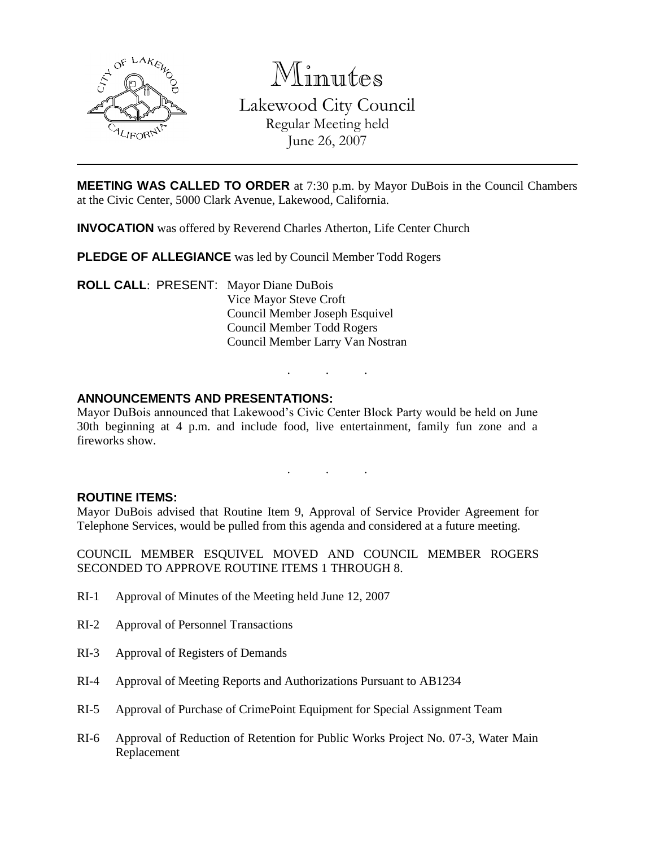

Minutes

Lakewood City Council Regular Meeting held June 26, 2007

**MEETING WAS CALLED TO ORDER** at 7:30 p.m. by Mayor DuBois in the Council Chambers at the Civic Center, 5000 Clark Avenue, Lakewood, California.

**INVOCATION** was offered by Reverend Charles Atherton, Life Center Church

**PLEDGE OF ALLEGIANCE** was led by Council Member Todd Rogers

**ROLL CALL**: PRESENT: Mayor Diane DuBois Vice Mayor Steve Croft Council Member Joseph Esquivel Council Member Todd Rogers Council Member Larry Van Nostran

## **ANNOUNCEMENTS AND PRESENTATIONS:**

Mayor DuBois announced that Lakewood's Civic Center Block Party would be held on June 30th beginning at 4 p.m. and include food, live entertainment, family fun zone and a fireworks show.

. . .

. . .

### **ROUTINE ITEMS:**

Mayor DuBois advised that Routine Item 9, Approval of Service Provider Agreement for Telephone Services, would be pulled from this agenda and considered at a future meeting.

COUNCIL MEMBER ESQUIVEL MOVED AND COUNCIL MEMBER ROGERS SECONDED TO APPROVE ROUTINE ITEMS 1 THROUGH 8.

- RI-1 Approval of Minutes of the Meeting held June 12, 2007
- RI-2 Approval of Personnel Transactions
- RI-3 Approval of Registers of Demands
- RI-4 Approval of Meeting Reports and Authorizations Pursuant to AB1234
- RI-5 Approval of Purchase of CrimePoint Equipment for Special Assignment Team
- RI-6 Approval of Reduction of Retention for Public Works Project No. 07-3, Water Main Replacement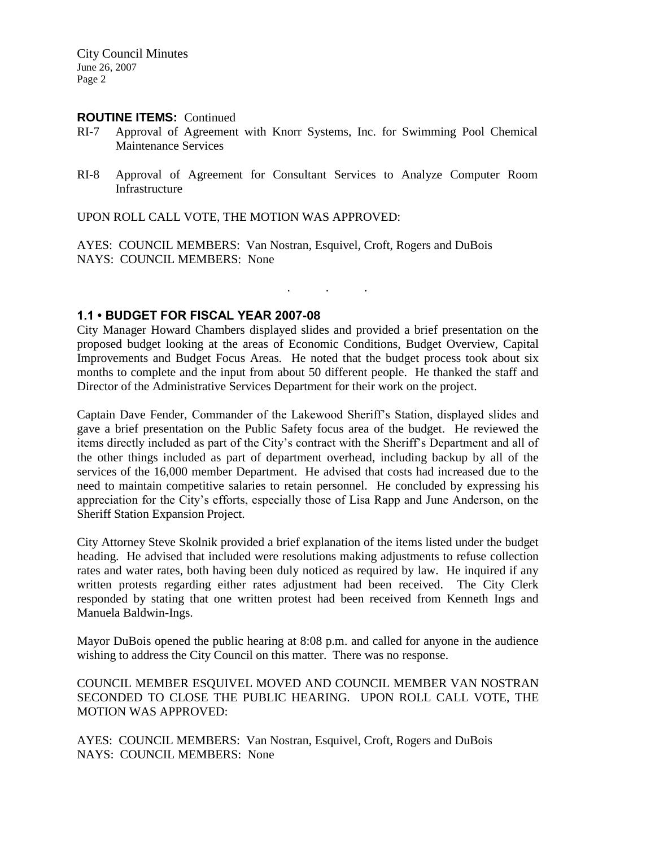#### **ROUTINE ITEMS:** Continued

- RI-7 Approval of Agreement with Knorr Systems, Inc. for Swimming Pool Chemical Maintenance Services
- RI-8 Approval of Agreement for Consultant Services to Analyze Computer Room Infrastructure

UPON ROLL CALL VOTE, THE MOTION WAS APPROVED:

AYES: COUNCIL MEMBERS: Van Nostran, Esquivel, Croft, Rogers and DuBois NAYS: COUNCIL MEMBERS: None

. . .

## **1.1 • BUDGET FOR FISCAL YEAR 2007-08**

City Manager Howard Chambers displayed slides and provided a brief presentation on the proposed budget looking at the areas of Economic Conditions, Budget Overview, Capital Improvements and Budget Focus Areas. He noted that the budget process took about six months to complete and the input from about 50 different people. He thanked the staff and Director of the Administrative Services Department for their work on the project.

Captain Dave Fender, Commander of the Lakewood Sheriff's Station, displayed slides and gave a brief presentation on the Public Safety focus area of the budget. He reviewed the items directly included as part of the City's contract with the Sheriff's Department and all of the other things included as part of department overhead, including backup by all of the services of the 16,000 member Department. He advised that costs had increased due to the need to maintain competitive salaries to retain personnel. He concluded by expressing his appreciation for the City's efforts, especially those of Lisa Rapp and June Anderson, on the Sheriff Station Expansion Project.

City Attorney Steve Skolnik provided a brief explanation of the items listed under the budget heading. He advised that included were resolutions making adjustments to refuse collection rates and water rates, both having been duly noticed as required by law. He inquired if any written protests regarding either rates adjustment had been received. The City Clerk responded by stating that one written protest had been received from Kenneth Ings and Manuela Baldwin-Ings.

Mayor DuBois opened the public hearing at 8:08 p.m. and called for anyone in the audience wishing to address the City Council on this matter. There was no response.

COUNCIL MEMBER ESQUIVEL MOVED AND COUNCIL MEMBER VAN NOSTRAN SECONDED TO CLOSE THE PUBLIC HEARING. UPON ROLL CALL VOTE, THE MOTION WAS APPROVED:

AYES: COUNCIL MEMBERS: Van Nostran, Esquivel, Croft, Rogers and DuBois NAYS: COUNCIL MEMBERS: None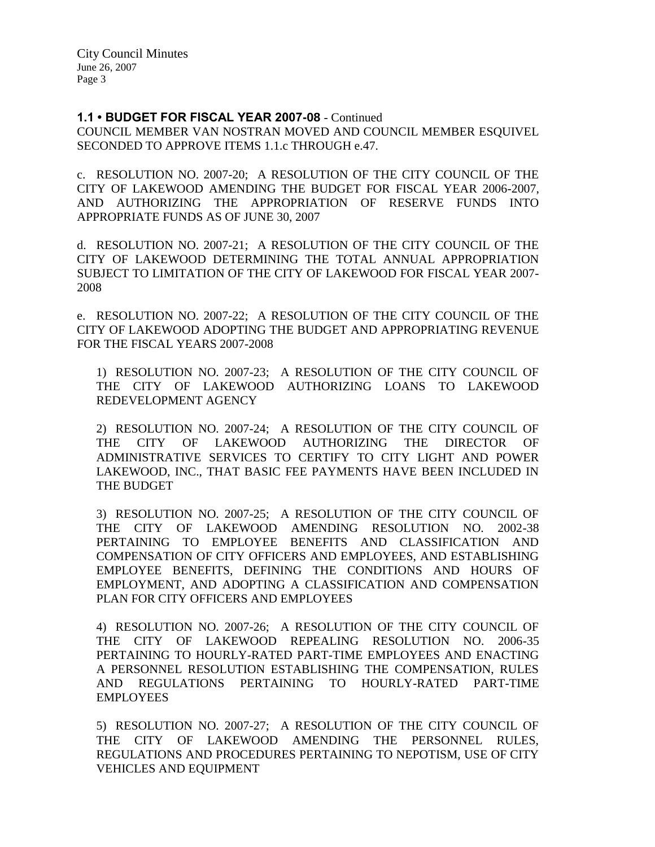### **1.1 • BUDGET FOR FISCAL YEAR 2007-08** - Continued

COUNCIL MEMBER VAN NOSTRAN MOVED AND COUNCIL MEMBER ESQUIVEL SECONDED TO APPROVE ITEMS 1.1.c THROUGH e.47.

c. RESOLUTION NO. 2007-20; A RESOLUTION OF THE CITY COUNCIL OF THE CITY OF LAKEWOOD AMENDING THE BUDGET FOR FISCAL YEAR 2006-2007, AND AUTHORIZING THE APPROPRIATION OF RESERVE FUNDS INTO APPROPRIATE FUNDS AS OF JUNE 30, 2007

d. RESOLUTION NO. 2007-21; A RESOLUTION OF THE CITY COUNCIL OF THE CITY OF LAKEWOOD DETERMINING THE TOTAL ANNUAL APPROPRIATION SUBJECT TO LIMITATION OF THE CITY OF LAKEWOOD FOR FISCAL YEAR 2007- 2008

e. RESOLUTION NO. 2007-22; A RESOLUTION OF THE CITY COUNCIL OF THE CITY OF LAKEWOOD ADOPTING THE BUDGET AND APPROPRIATING REVENUE FOR THE FISCAL YEARS 2007-2008

1) RESOLUTION NO. 2007-23; A RESOLUTION OF THE CITY COUNCIL OF THE CITY OF LAKEWOOD AUTHORIZING LOANS TO LAKEWOOD REDEVELOPMENT AGENCY

2) RESOLUTION NO. 2007-24; A RESOLUTION OF THE CITY COUNCIL OF THE CITY OF LAKEWOOD AUTHORIZING THE DIRECTOR OF ADMINISTRATIVE SERVICES TO CERTIFY TO CITY LIGHT AND POWER LAKEWOOD, INC., THAT BASIC FEE PAYMENTS HAVE BEEN INCLUDED IN THE BUDGET

3) RESOLUTION NO. 2007-25; A RESOLUTION OF THE CITY COUNCIL OF THE CITY OF LAKEWOOD AMENDING RESOLUTION NO. 2002-38 PERTAINING TO EMPLOYEE BENEFITS AND CLASSIFICATION AND COMPENSATION OF CITY OFFICERS AND EMPLOYEES, AND ESTABLISHING EMPLOYEE BENEFITS, DEFINING THE CONDITIONS AND HOURS OF EMPLOYMENT, AND ADOPTING A CLASSIFICATION AND COMPENSATION PLAN FOR CITY OFFICERS AND EMPLOYEES

4) RESOLUTION NO. 2007-26; A RESOLUTION OF THE CITY COUNCIL OF THE CITY OF LAKEWOOD REPEALING RESOLUTION NO. 2006-35 PERTAINING TO HOURLY-RATED PART-TIME EMPLOYEES AND ENACTING A PERSONNEL RESOLUTION ESTABLISHING THE COMPENSATION, RULES AND REGULATIONS PERTAINING TO HOURLY-RATED PART-TIME EMPLOYEES

5) RESOLUTION NO. 2007-27; A RESOLUTION OF THE CITY COUNCIL OF THE CITY OF LAKEWOOD AMENDING THE PERSONNEL RULES, REGULATIONS AND PROCEDURES PERTAINING TO NEPOTISM, USE OF CITY VEHICLES AND EQUIPMENT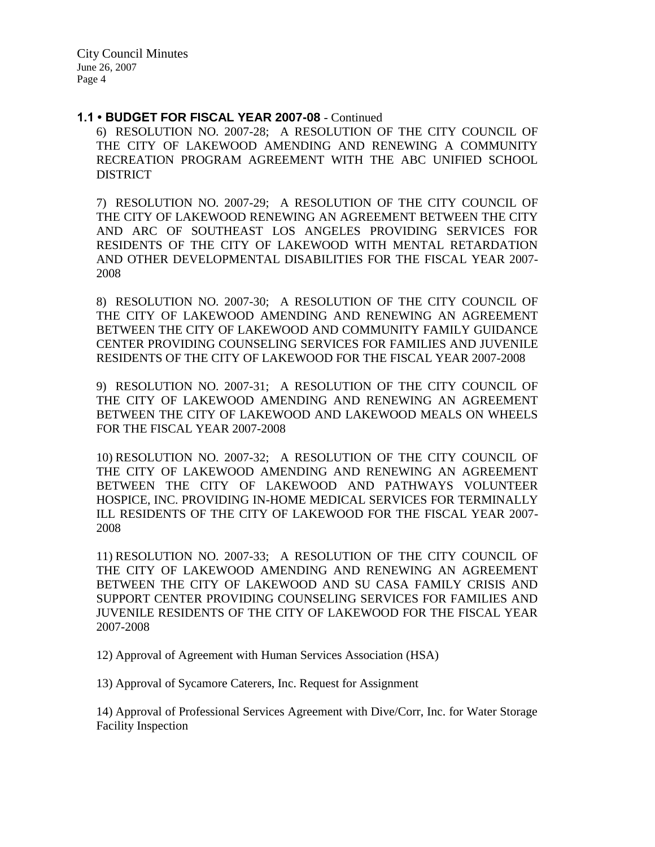#### **1.1 • BUDGET FOR FISCAL YEAR 2007-08** - Continued

6) RESOLUTION NO. 2007-28; A RESOLUTION OF THE CITY COUNCIL OF THE CITY OF LAKEWOOD AMENDING AND RENEWING A COMMUNITY RECREATION PROGRAM AGREEMENT WITH THE ABC UNIFIED SCHOOL DISTRICT

7) RESOLUTION NO. 2007-29; A RESOLUTION OF THE CITY COUNCIL OF THE CITY OF LAKEWOOD RENEWING AN AGREEMENT BETWEEN THE CITY AND ARC OF SOUTHEAST LOS ANGELES PROVIDING SERVICES FOR RESIDENTS OF THE CITY OF LAKEWOOD WITH MENTAL RETARDATION AND OTHER DEVELOPMENTAL DISABILITIES FOR THE FISCAL YEAR 2007- 2008

8) RESOLUTION NO. 2007-30; A RESOLUTION OF THE CITY COUNCIL OF THE CITY OF LAKEWOOD AMENDING AND RENEWING AN AGREEMENT BETWEEN THE CITY OF LAKEWOOD AND COMMUNITY FAMILY GUIDANCE CENTER PROVIDING COUNSELING SERVICES FOR FAMILIES AND JUVENILE RESIDENTS OF THE CITY OF LAKEWOOD FOR THE FISCAL YEAR 2007-2008

9) RESOLUTION NO. 2007-31; A RESOLUTION OF THE CITY COUNCIL OF THE CITY OF LAKEWOOD AMENDING AND RENEWING AN AGREEMENT BETWEEN THE CITY OF LAKEWOOD AND LAKEWOOD MEALS ON WHEELS FOR THE FISCAL YEAR 2007-2008

10) RESOLUTION NO. 2007-32; A RESOLUTION OF THE CITY COUNCIL OF THE CITY OF LAKEWOOD AMENDING AND RENEWING AN AGREEMENT BETWEEN THE CITY OF LAKEWOOD AND PATHWAYS VOLUNTEER HOSPICE, INC. PROVIDING IN-HOME MEDICAL SERVICES FOR TERMINALLY ILL RESIDENTS OF THE CITY OF LAKEWOOD FOR THE FISCAL YEAR 2007- 2008

11) RESOLUTION NO. 2007-33; A RESOLUTION OF THE CITY COUNCIL OF THE CITY OF LAKEWOOD AMENDING AND RENEWING AN AGREEMENT BETWEEN THE CITY OF LAKEWOOD AND SU CASA FAMILY CRISIS AND SUPPORT CENTER PROVIDING COUNSELING SERVICES FOR FAMILIES AND JUVENILE RESIDENTS OF THE CITY OF LAKEWOOD FOR THE FISCAL YEAR 2007-2008

12) Approval of Agreement with Human Services Association (HSA)

13) Approval of Sycamore Caterers, Inc. Request for Assignment

14) Approval of Professional Services Agreement with Dive/Corr, Inc. for Water Storage Facility Inspection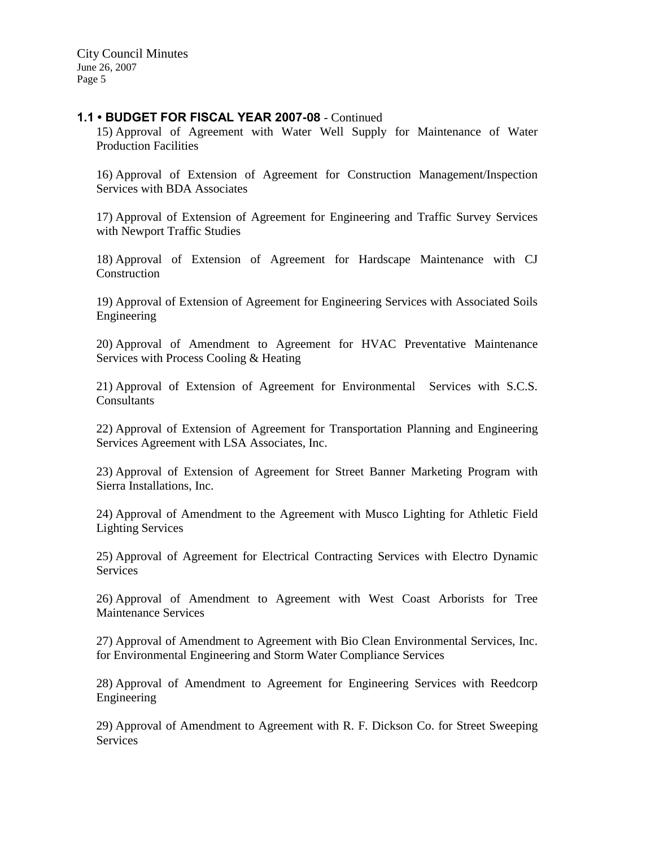### **1.1 • BUDGET FOR FISCAL YEAR 2007-08** - Continued

15) Approval of Agreement with Water Well Supply for Maintenance of Water Production Facilities

16) Approval of Extension of Agreement for Construction Management/Inspection Services with BDA Associates

17) Approval of Extension of Agreement for Engineering and Traffic Survey Services with Newport Traffic Studies

18) Approval of Extension of Agreement for Hardscape Maintenance with CJ Construction

19) Approval of Extension of Agreement for Engineering Services with Associated Soils Engineering

20) Approval of Amendment to Agreement for HVAC Preventative Maintenance Services with Process Cooling & Heating

21) Approval of Extension of Agreement for Environmental Services with S.C.S. Consultants

22) Approval of Extension of Agreement for Transportation Planning and Engineering Services Agreement with LSA Associates, Inc.

23) Approval of Extension of Agreement for Street Banner Marketing Program with Sierra Installations, Inc.

24) Approval of Amendment to the Agreement with Musco Lighting for Athletic Field Lighting Services

25) Approval of Agreement for Electrical Contracting Services with Electro Dynamic **Services** 

26) Approval of Amendment to Agreement with West Coast Arborists for Tree Maintenance Services

27) Approval of Amendment to Agreement with Bio Clean Environmental Services, Inc. for Environmental Engineering and Storm Water Compliance Services

28) Approval of Amendment to Agreement for Engineering Services with Reedcorp Engineering

29) Approval of Amendment to Agreement with R. F. Dickson Co. for Street Sweeping **Services**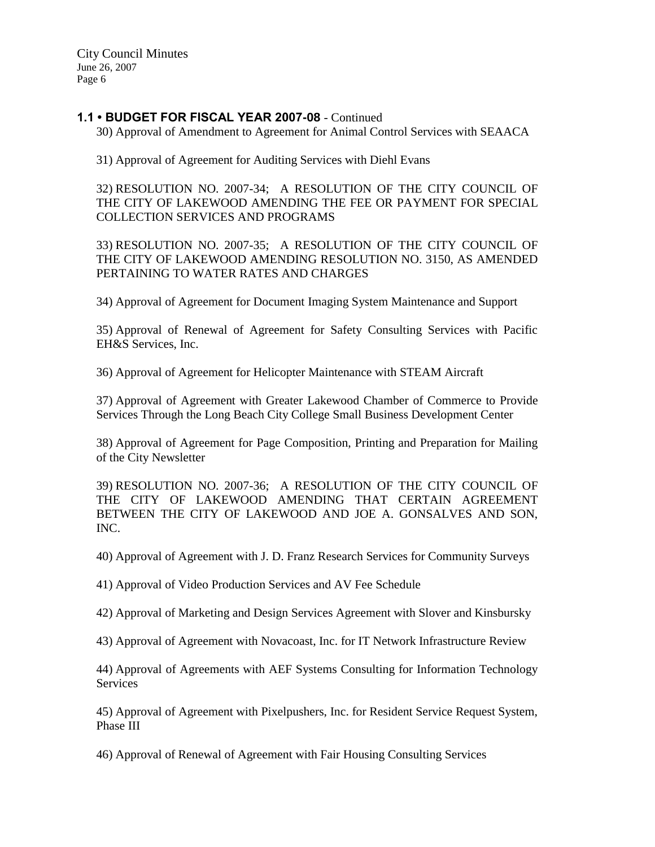## **1.1 • BUDGET FOR FISCAL YEAR 2007-08** - Continued

30) Approval of Amendment to Agreement for Animal Control Services with SEAACA

31) Approval of Agreement for Auditing Services with Diehl Evans

32) RESOLUTION NO. 2007-34; A RESOLUTION OF THE CITY COUNCIL OF THE CITY OF LAKEWOOD AMENDING THE FEE OR PAYMENT FOR SPECIAL COLLECTION SERVICES AND PROGRAMS

33) RESOLUTION NO. 2007-35; A RESOLUTION OF THE CITY COUNCIL OF THE CITY OF LAKEWOOD AMENDING RESOLUTION NO. 3150, AS AMENDED PERTAINING TO WATER RATES AND CHARGES

34) Approval of Agreement for Document Imaging System Maintenance and Support

35) Approval of Renewal of Agreement for Safety Consulting Services with Pacific EH&S Services, Inc.

36) Approval of Agreement for Helicopter Maintenance with STEAM Aircraft

37) Approval of Agreement with Greater Lakewood Chamber of Commerce to Provide Services Through the Long Beach City College Small Business Development Center

38) Approval of Agreement for Page Composition, Printing and Preparation for Mailing of the City Newsletter

39) RESOLUTION NO. 2007-36; A RESOLUTION OF THE CITY COUNCIL OF THE CITY OF LAKEWOOD AMENDING THAT CERTAIN AGREEMENT BETWEEN THE CITY OF LAKEWOOD AND JOE A. GONSALVES AND SON, INC.

40) Approval of Agreement with J. D. Franz Research Services for Community Surveys

41) Approval of Video Production Services and AV Fee Schedule

42) Approval of Marketing and Design Services Agreement with Slover and Kinsbursky

43) Approval of Agreement with Novacoast, Inc. for IT Network Infrastructure Review

44) Approval of Agreements with AEF Systems Consulting for Information Technology Services

45) Approval of Agreement with Pixelpushers, Inc. for Resident Service Request System, Phase III

46) Approval of Renewal of Agreement with Fair Housing Consulting Services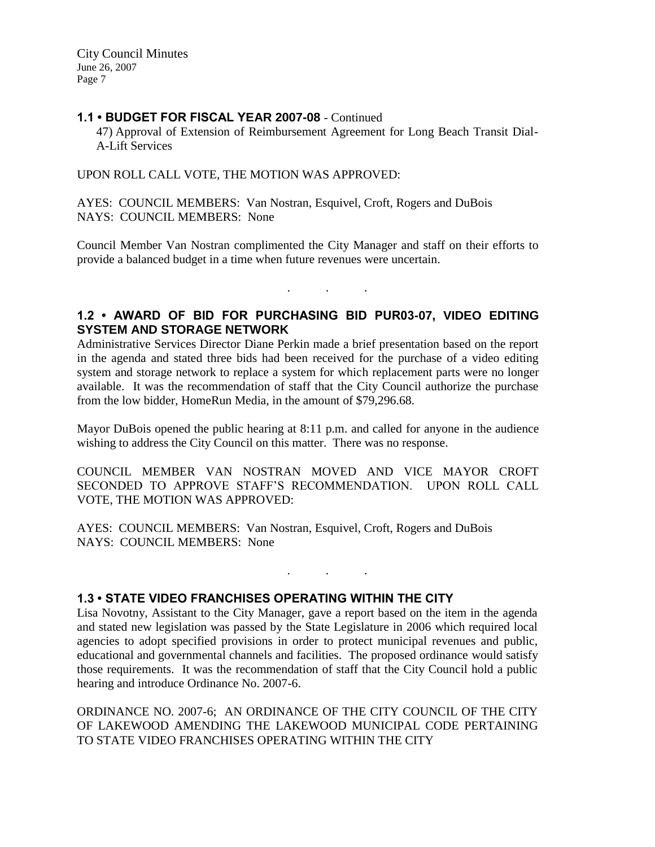## **1.1 • BUDGET FOR FISCAL YEAR 2007-08** - Continued

47) Approval of Extension of Reimbursement Agreement for Long Beach Transit Dial-A-Lift Services

UPON ROLL CALL VOTE, THE MOTION WAS APPROVED:

AYES: COUNCIL MEMBERS: Van Nostran, Esquivel, Croft, Rogers and DuBois NAYS: COUNCIL MEMBERS: None

Council Member Van Nostran complimented the City Manager and staff on their efforts to provide a balanced budget in a time when future revenues were uncertain.

# **1.2 • AWARD OF BID FOR PURCHASING BID PUR03-07, VIDEO EDITING SYSTEM AND STORAGE NETWORK**

. . .

Administrative Services Director Diane Perkin made a brief presentation based on the report in the agenda and stated three bids had been received for the purchase of a video editing system and storage network to replace a system for which replacement parts were no longer available. It was the recommendation of staff that the City Council authorize the purchase from the low bidder, HomeRun Media, in the amount of \$79,296.68.

Mayor DuBois opened the public hearing at 8:11 p.m. and called for anyone in the audience wishing to address the City Council on this matter. There was no response.

COUNCIL MEMBER VAN NOSTRAN MOVED AND VICE MAYOR CROFT SECONDED TO APPROVE STAFF'S RECOMMENDATION. UPON ROLL CALL VOTE, THE MOTION WAS APPROVED:

AYES: COUNCIL MEMBERS: Van Nostran, Esquivel, Croft, Rogers and DuBois NAYS: COUNCIL MEMBERS: None

## **1.3 • STATE VIDEO FRANCHISES OPERATING WITHIN THE CITY**

Lisa Novotny, Assistant to the City Manager, gave a report based on the item in the agenda and stated new legislation was passed by the State Legislature in 2006 which required local agencies to adopt specified provisions in order to protect municipal revenues and public, educational and governmental channels and facilities. The proposed ordinance would satisfy those requirements. It was the recommendation of staff that the City Council hold a public hearing and introduce Ordinance No. 2007-6.

. . .

ORDINANCE NO. 2007-6; AN ORDINANCE OF THE CITY COUNCIL OF THE CITY OF LAKEWOOD AMENDING THE LAKEWOOD MUNICIPAL CODE PERTAINING TO STATE VIDEO FRANCHISES OPERATING WITHIN THE CITY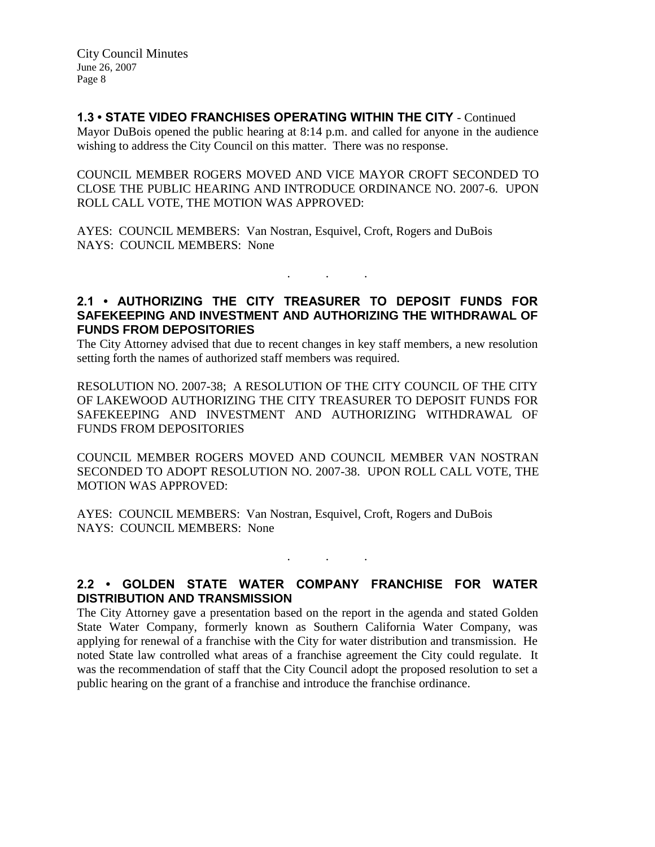# **1.3 • STATE VIDEO FRANCHISES OPERATING WITHIN THE CITY** - Continued

Mayor DuBois opened the public hearing at 8:14 p.m. and called for anyone in the audience wishing to address the City Council on this matter. There was no response.

COUNCIL MEMBER ROGERS MOVED AND VICE MAYOR CROFT SECONDED TO CLOSE THE PUBLIC HEARING AND INTRODUCE ORDINANCE NO. 2007-6. UPON ROLL CALL VOTE, THE MOTION WAS APPROVED:

AYES: COUNCIL MEMBERS: Van Nostran, Esquivel, Croft, Rogers and DuBois NAYS: COUNCIL MEMBERS: None

# **2.1 • AUTHORIZING THE CITY TREASURER TO DEPOSIT FUNDS FOR SAFEKEEPING AND INVESTMENT AND AUTHORIZING THE WITHDRAWAL OF FUNDS FROM DEPOSITORIES**

. . .

The City Attorney advised that due to recent changes in key staff members, a new resolution setting forth the names of authorized staff members was required.

RESOLUTION NO. 2007-38; A RESOLUTION OF THE CITY COUNCIL OF THE CITY OF LAKEWOOD AUTHORIZING THE CITY TREASURER TO DEPOSIT FUNDS FOR SAFEKEEPING AND INVESTMENT AND AUTHORIZING WITHDRAWAL OF FUNDS FROM DEPOSITORIES

COUNCIL MEMBER ROGERS MOVED AND COUNCIL MEMBER VAN NOSTRAN SECONDED TO ADOPT RESOLUTION NO. 2007-38. UPON ROLL CALL VOTE, THE MOTION WAS APPROVED:

AYES: COUNCIL MEMBERS: Van Nostran, Esquivel, Croft, Rogers and DuBois NAYS: COUNCIL MEMBERS: None

. . .

# **2.2 • GOLDEN STATE WATER COMPANY FRANCHISE FOR WATER DISTRIBUTION AND TRANSMISSION**

The City Attorney gave a presentation based on the report in the agenda and stated Golden State Water Company, formerly known as Southern California Water Company, was applying for renewal of a franchise with the City for water distribution and transmission. He noted State law controlled what areas of a franchise agreement the City could regulate. It was the recommendation of staff that the City Council adopt the proposed resolution to set a public hearing on the grant of a franchise and introduce the franchise ordinance.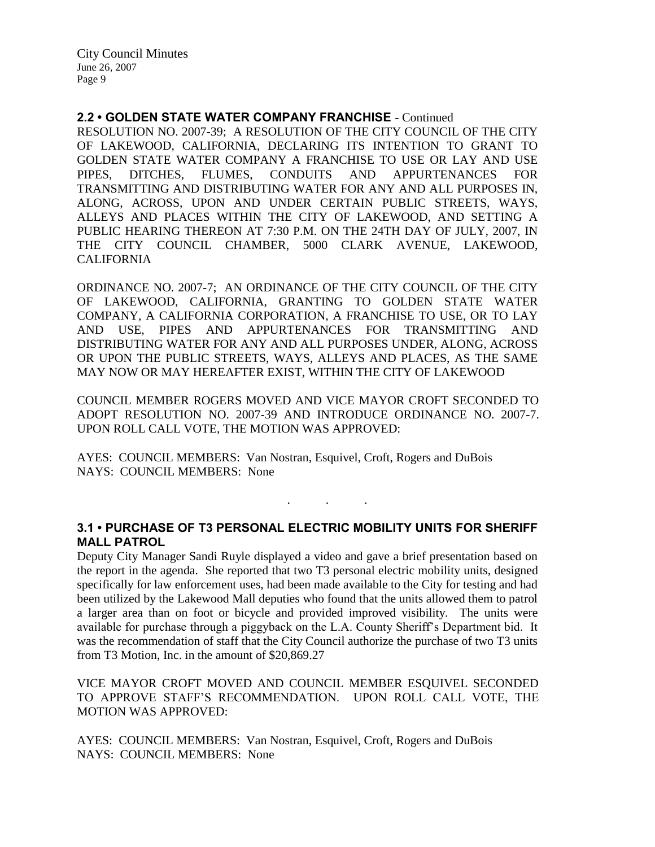## **2.2 • GOLDEN STATE WATER COMPANY FRANCHISE** - Continued

RESOLUTION NO. 2007-39; A RESOLUTION OF THE CITY COUNCIL OF THE CITY OF LAKEWOOD, CALIFORNIA, DECLARING ITS INTENTION TO GRANT TO GOLDEN STATE WATER COMPANY A FRANCHISE TO USE OR LAY AND USE PIPES, DITCHES, FLUMES, CONDUITS AND APPURTENANCES FOR TRANSMITTING AND DISTRIBUTING WATER FOR ANY AND ALL PURPOSES IN, ALONG, ACROSS, UPON AND UNDER CERTAIN PUBLIC STREETS, WAYS, ALLEYS AND PLACES WITHIN THE CITY OF LAKEWOOD, AND SETTING A PUBLIC HEARING THEREON AT 7:30 P.M. ON THE 24TH DAY OF JULY, 2007, IN THE CITY COUNCIL CHAMBER, 5000 CLARK AVENUE, LAKEWOOD, CALIFORNIA

ORDINANCE NO. 2007-7; AN ORDINANCE OF THE CITY COUNCIL OF THE CITY OF LAKEWOOD, CALIFORNIA, GRANTING TO GOLDEN STATE WATER COMPANY, A CALIFORNIA CORPORATION, A FRANCHISE TO USE, OR TO LAY AND USE, PIPES AND APPURTENANCES FOR TRANSMITTING AND DISTRIBUTING WATER FOR ANY AND ALL PURPOSES UNDER, ALONG, ACROSS OR UPON THE PUBLIC STREETS, WAYS, ALLEYS AND PLACES, AS THE SAME MAY NOW OR MAY HEREAFTER EXIST, WITHIN THE CITY OF LAKEWOOD

COUNCIL MEMBER ROGERS MOVED AND VICE MAYOR CROFT SECONDED TO ADOPT RESOLUTION NO. 2007-39 AND INTRODUCE ORDINANCE NO. 2007-7. UPON ROLL CALL VOTE, THE MOTION WAS APPROVED:

AYES: COUNCIL MEMBERS: Van Nostran, Esquivel, Croft, Rogers and DuBois NAYS: COUNCIL MEMBERS: None

### **3.1 • PURCHASE OF T3 PERSONAL ELECTRIC MOBILITY UNITS FOR SHERIFF MALL PATROL**

. . .

Deputy City Manager Sandi Ruyle displayed a video and gave a brief presentation based on the report in the agenda. She reported that two T3 personal electric mobility units, designed specifically for law enforcement uses, had been made available to the City for testing and had been utilized by the Lakewood Mall deputies who found that the units allowed them to patrol a larger area than on foot or bicycle and provided improved visibility. The units were available for purchase through a piggyback on the L.A. County Sheriff's Department bid. It was the recommendation of staff that the City Council authorize the purchase of two T3 units from T3 Motion, Inc. in the amount of \$20,869.27

VICE MAYOR CROFT MOVED AND COUNCIL MEMBER ESQUIVEL SECONDED TO APPROVE STAFF'S RECOMMENDATION. UPON ROLL CALL VOTE, THE MOTION WAS APPROVED:

AYES: COUNCIL MEMBERS: Van Nostran, Esquivel, Croft, Rogers and DuBois NAYS: COUNCIL MEMBERS: None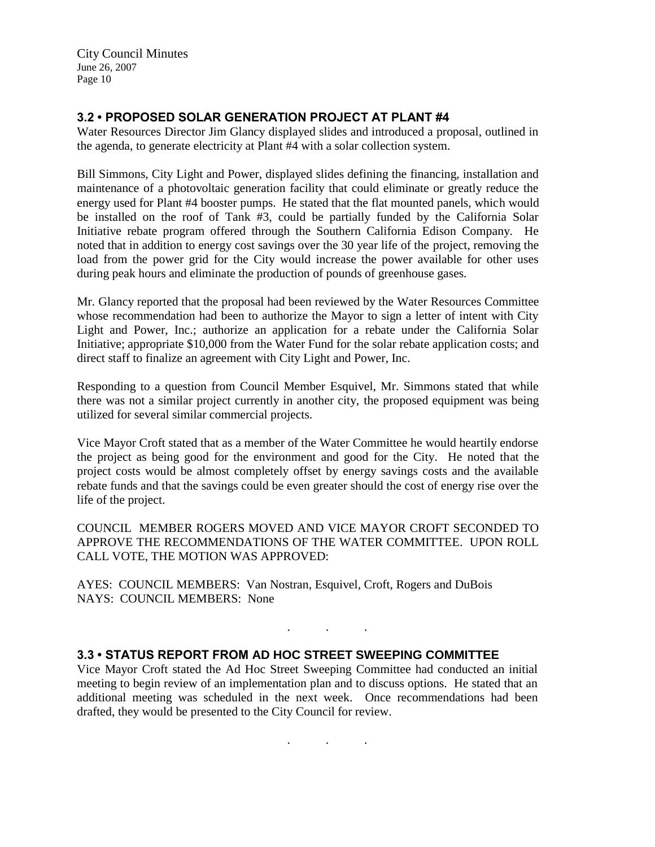# **3.2 • PROPOSED SOLAR GENERATION PROJECT AT PLANT #4**

Water Resources Director Jim Glancy displayed slides and introduced a proposal, outlined in the agenda, to generate electricity at Plant #4 with a solar collection system.

Bill Simmons, City Light and Power, displayed slides defining the financing, installation and maintenance of a photovoltaic generation facility that could eliminate or greatly reduce the energy used for Plant #4 booster pumps. He stated that the flat mounted panels, which would be installed on the roof of Tank #3, could be partially funded by the California Solar Initiative rebate program offered through the Southern California Edison Company. He noted that in addition to energy cost savings over the 30 year life of the project, removing the load from the power grid for the City would increase the power available for other uses during peak hours and eliminate the production of pounds of greenhouse gases.

Mr. Glancy reported that the proposal had been reviewed by the Water Resources Committee whose recommendation had been to authorize the Mayor to sign a letter of intent with City Light and Power, Inc.; authorize an application for a rebate under the California Solar Initiative; appropriate \$10,000 from the Water Fund for the solar rebate application costs; and direct staff to finalize an agreement with City Light and Power, Inc.

Responding to a question from Council Member Esquivel, Mr. Simmons stated that while there was not a similar project currently in another city, the proposed equipment was being utilized for several similar commercial projects.

Vice Mayor Croft stated that as a member of the Water Committee he would heartily endorse the project as being good for the environment and good for the City. He noted that the project costs would be almost completely offset by energy savings costs and the available rebate funds and that the savings could be even greater should the cost of energy rise over the life of the project.

COUNCIL MEMBER ROGERS MOVED AND VICE MAYOR CROFT SECONDED TO APPROVE THE RECOMMENDATIONS OF THE WATER COMMITTEE. UPON ROLL CALL VOTE, THE MOTION WAS APPROVED:

AYES: COUNCIL MEMBERS: Van Nostran, Esquivel, Croft, Rogers and DuBois NAYS: COUNCIL MEMBERS: None

# **3.3 • STATUS REPORT FROM AD HOC STREET SWEEPING COMMITTEE**

Vice Mayor Croft stated the Ad Hoc Street Sweeping Committee had conducted an initial meeting to begin review of an implementation plan and to discuss options. He stated that an additional meeting was scheduled in the next week. Once recommendations had been drafted, they would be presented to the City Council for review.

. . .

. . .